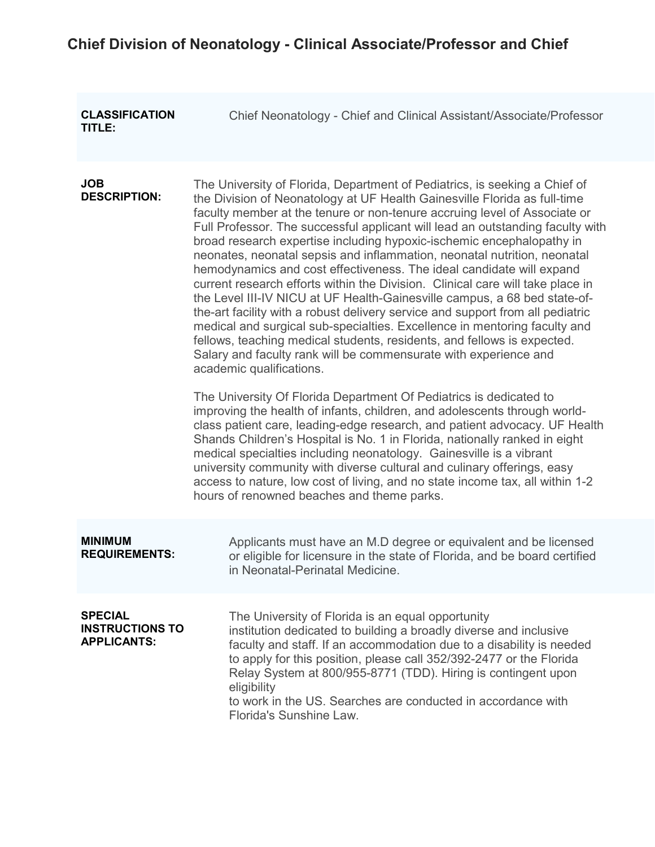## **Chief Division of Neonatology - Clinical Associate/Professor and Chief**

| <b>CLASSIFICATION</b><br>TITLE:                                | Chief Neonatology - Chief and Clinical Assistant/Associate/Professor                                                                                                                                                                                                                                                                                                                                                                                                                                                                                                                                                                                                                                                                                                                                                                                                                                                                                                                                                                                                                                                                                                                                                                                                                                                                                                                                                                                                                                                                                                                                                                                         |
|----------------------------------------------------------------|--------------------------------------------------------------------------------------------------------------------------------------------------------------------------------------------------------------------------------------------------------------------------------------------------------------------------------------------------------------------------------------------------------------------------------------------------------------------------------------------------------------------------------------------------------------------------------------------------------------------------------------------------------------------------------------------------------------------------------------------------------------------------------------------------------------------------------------------------------------------------------------------------------------------------------------------------------------------------------------------------------------------------------------------------------------------------------------------------------------------------------------------------------------------------------------------------------------------------------------------------------------------------------------------------------------------------------------------------------------------------------------------------------------------------------------------------------------------------------------------------------------------------------------------------------------------------------------------------------------------------------------------------------------|
| <b>JOB</b><br><b>DESCRIPTION:</b>                              | The University of Florida, Department of Pediatrics, is seeking a Chief of<br>the Division of Neonatology at UF Health Gainesville Florida as full-time<br>faculty member at the tenure or non-tenure accruing level of Associate or<br>Full Professor. The successful applicant will lead an outstanding faculty with<br>broad research expertise including hypoxic-ischemic encephalopathy in<br>neonates, neonatal sepsis and inflammation, neonatal nutrition, neonatal<br>hemodynamics and cost effectiveness. The ideal candidate will expand<br>current research efforts within the Division. Clinical care will take place in<br>the Level III-IV NICU at UF Health-Gainesville campus, a 68 bed state-of-<br>the-art facility with a robust delivery service and support from all pediatric<br>medical and surgical sub-specialties. Excellence in mentoring faculty and<br>fellows, teaching medical students, residents, and fellows is expected.<br>Salary and faculty rank will be commensurate with experience and<br>academic qualifications.<br>The University Of Florida Department Of Pediatrics is dedicated to<br>improving the health of infants, children, and adolescents through world-<br>class patient care, leading-edge research, and patient advocacy. UF Health<br>Shands Children's Hospital is No. 1 in Florida, nationally ranked in eight<br>medical specialties including neonatology. Gainesville is a vibrant<br>university community with diverse cultural and culinary offerings, easy<br>access to nature, low cost of living, and no state income tax, all within 1-2<br>hours of renowned beaches and theme parks. |
| <b>MINIMUM</b><br><b>REQUIREMENTS:</b>                         | Applicants must have an M.D degree or equivalent and be licensed<br>or eligible for licensure in the state of Florida, and be board certified<br>in Neonatal-Perinatal Medicine.                                                                                                                                                                                                                                                                                                                                                                                                                                                                                                                                                                                                                                                                                                                                                                                                                                                                                                                                                                                                                                                                                                                                                                                                                                                                                                                                                                                                                                                                             |
| <b>SPECIAL</b><br><b>INSTRUCTIONS TO</b><br><b>APPLICANTS:</b> | The University of Florida is an equal opportunity<br>institution dedicated to building a broadly diverse and inclusive<br>faculty and staff. If an accommodation due to a disability is needed<br>to apply for this position, please call 352/392-2477 or the Florida<br>Relay System at 800/955-8771 (TDD). Hiring is contingent upon<br>eligibility<br>to work in the US. Searches are conducted in accordance with<br>Florida's Sunshine Law.                                                                                                                                                                                                                                                                                                                                                                                                                                                                                                                                                                                                                                                                                                                                                                                                                                                                                                                                                                                                                                                                                                                                                                                                             |